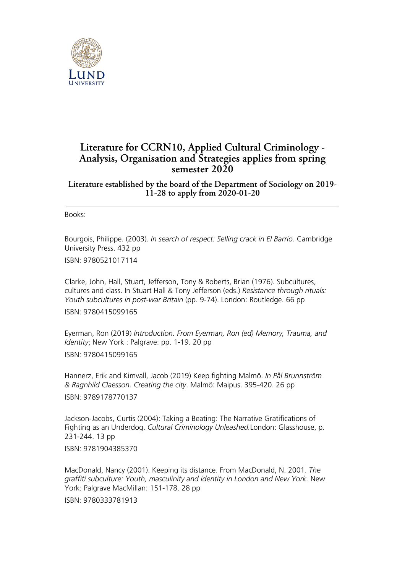

## **Literature for CCRN10, Applied Cultural Criminology - Analysis, Organisation and Strategies applies from spring semester 2020**

**Literature established by the board of the Department of Sociology on 2019- 11-28 to apply from 2020-01-20**

Books:

Bourgois, Philippe. (2003). *In search of respect: Selling crack in El Barrio.* Cambridge University Press. 432 pp

ISBN: 9780521017114

Clarke, John, Hall, Stuart, Jefferson, Tony & Roberts, Brian (1976). Subcultures, cultures and class. In Stuart Hall & Tony Jefferson (eds.) *Resistance through rituals: Youth subcultures in post-war Britain* (pp. 9-74). London: Routledge. 66 pp

ISBN: 9780415099165

Eyerman, Ron (2019) *Introduction. From Eyerman, Ron (ed) Memory, Trauma, and Identity*; New York : Palgrave: pp. 1-19. 20 pp ISBN: 9780415099165

Hannerz, Erik and Kimvall, Jacob (2019) Keep fighting Malmö. *In Pål Brunnström & Ragnhild Claesson. Creating the city*. Malmö: Maipus. 395-420. 26 pp

ISBN: 9789178770137

Jackson-Jacobs, Curtis (2004): Taking a Beating: The Narrative Gratifications of Fighting as an Underdog. *Cultural Criminology Unleashed.*London: Glasshouse, p. 231-244. 13 pp

ISBN: 9781904385370

MacDonald, Nancy (2001). Keeping its distance. From MacDonald, N. 2001. *The graffiti subculture: Youth, masculinity and identity in London and New York.* New York: Palgrave MacMillan: 151-178. 28 pp

ISBN: 9780333781913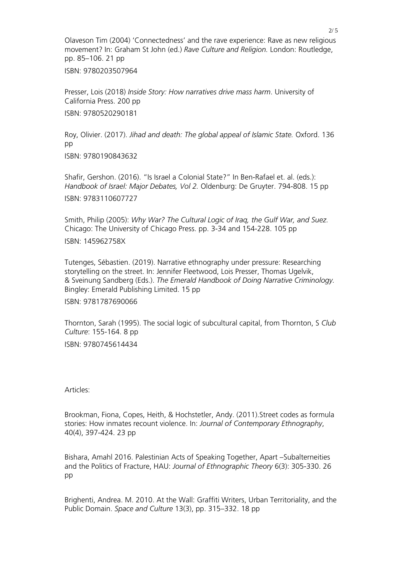Olaveson Tim (2004) 'Connectedness' and the rave experience: Rave as new religious movement? In: Graham St John (ed.) *Rave Culture and Religion.* London: Routledge, pp. 85–106. 21 pp

ISBN: 9780203507964

Presser, Lois (2018) *Inside Story: How narratives drive mass harm*. University of California Press. 200 pp ISBN: 9780520290181

Roy, Olivier. (2017). *Jihad and death: The global appeal of Islamic State.* Oxford. 136 pp ISBN: 9780190843632

Shafir, Gershon. (2016). "Is Israel a Colonial State?" In Ben-Rafael et. al. (eds.): *Handbook of Israel: Major Debates, Vol 2.* Oldenburg: De Gruyter. 794-808. 15 pp ISBN: 9783110607727

Smith, Philip (2005): *Why War? The Cultural Logic of Iraq, the Gulf War, and Suez.* Chicago: The University of Chicago Press. pp. 3-34 and 154-228. 105 pp ISBN: 145962758X

Tutenges, Sébastien. (2019). Narrative ethnography under pressure: Researching storytelling on the street. In: Jennifer Fleetwood, Lois Presser, Thomas Ugelvik, & Sveinung Sandberg (Eds.). *The Emerald Handbook of Doing Narrative Criminology.* Bingley: Emerald Publishing Limited. 15 pp

ISBN: 9781787690066

Thornton, Sarah (1995). The social logic of subcultural capital, from Thornton, S *Club Culture*: 155-164. 8 pp ISBN: 9780745614434

Articles:

Brookman, Fiona, Copes, Heith, & Hochstetler, Andy. (2011).Street codes as formula stories: How inmates recount violence. In: *Journal of Contemporary Ethnography*, 40(4), 397-424. 23 pp

Bishara, Amahl 2016. Palestinian Acts of Speaking Together, Apart –Subalterneities and the Politics of Fracture, HAU: *Journal of Ethnographic Theory* 6(3): 305-330. 26 pp

Brighenti, Andrea. M. 2010. At the Wall: Graffiti Writers, Urban Territoriality, and the Public Domain. *Space and Culture* 13(3), pp. 315–332. 18 pp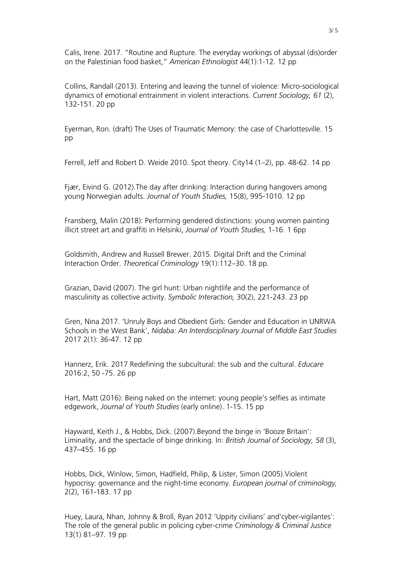Calis, Irene. 2017. "Routine and Rupture. The everyday workings of abyssal (dis)order on the Palestinian food basket," *American Ethnologist* 44(1):1-12. 12 pp

Collins, Randall (2013). Entering and leaving the tunnel of violence: Micro-sociological dynamics of emotional entrainment in violent interactions. *Current Sociology, 61* (2), 132-151. 20 pp

Eyerman, Ron. (draft) The Uses of Traumatic Memory: the case of Charlottesville. 15 pp

Ferrell, Jeff and Robert D. Weide 2010. Spot theory. City14 (1–2), pp. 48-62. 14 pp

Fjær, Eivind G. (2012).The day after drinking: Interaction during hangovers among young Norwegian adults. *Journal of Youth Studies,* 15(8), 995-1010. 12 pp

Fransberg, Malin (2018): Performing gendered distinctions: young women painting illicit street art and graffiti in Helsinki, *Journal of Youth Studies,* 1-16. 1 6pp

Goldsmith, Andrew and Russell Brewer. 2015. Digital Drift and the Criminal Interaction Order. *Theoretical Criminology* 19(1):112–30. 18 pp.

Grazian, David (2007). The girl hunt: Urban nightlife and the performance of masculinity as collective activity. *Symbolic Interaction,* 30(2), 221-243. 23 pp

Gren, Nina 2017. 'Unruly Boys and Obedient Girls: Gender and Education in UNRWA Schools in the West Bank', *Nidaba: An Interdisciplinary Journal of Middle East Studies* 2017 2(1): 36-47. 12 pp

Hannerz, Erik. 2017 Redefining the subcultural: the sub and the cultural. *Educare* 2016:2, 50 -75. 26 pp

Hart, Matt (2016): Being naked on the internet: young people's selfies as intimate edgework, *Journal of Youth Studies* (early online). 1-15. 15 pp

Hayward, Keith J., & Hobbs, Dick. (2007).Beyond the binge in 'Booze Britain': Liminality, and the spectacle of binge drinking. In: *British Journal of Sociology, 58* (3), 437–455. 16 pp

Hobbs, Dick, Winlow, Simon, Hadfield, Philip, & Lister, Simon (2005).Violent hypocrisy: governance and the night-time economy. *European journal of criminology,* 2(2), 161-183. 17 pp

Huey, Laura, Nhan, Johnny & Broll, Ryan 2012 'Uppity civilians' and'cyber-vigilantes': The role of the general public in policing cyber-crime *Criminology & Criminal Justice* 13(1) 81–97. 19 pp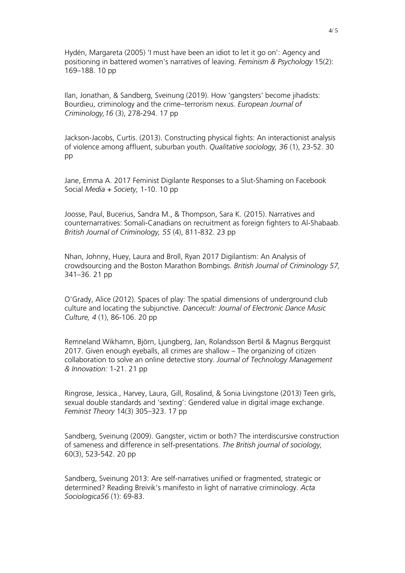Hydén, Margareta (2005) 'I must have been an idiot to let it go on': Agency and positioning in battered women's narratives of leaving. *Feminism & Psychology* 15(2): 169–188. 10 pp

Ilan, Jonathan, & Sandberg, Sveinung (2019). How 'gangsters' become jihadists: Bourdieu, criminology and the crime–terrorism nexus. *European Journal of Criminology,16* (3), 278-294. 17 pp

Jackson-Jacobs, Curtis. (2013). Constructing physical fights: An interactionist analysis of violence among affluent, suburban youth. *Qualitative sociology, 36* (1), 23-52. 30 pp

Jane, Emma A. 2017 Feminist Digilante Responses to a Slut-Shaming on Facebook Social *Media + Society,* 1-10. 10 pp

Joosse, Paul, Bucerius, Sandra M., & Thompson, Sara K. (2015). Narratives and counternarratives: Somali-Canadians on recruitment as foreign fighters to Al-Shabaab. *British Journal of Criminology, 55* (4), 811-832. 23 pp

Nhan, Johnny, Huey, Laura and Broll, Ryan 2017 Digilantism: An Analysis of crowdsourcing and the Boston Marathon Bombings. *British Journal of Criminology 57,* 341–36. 21 pp

O'Grady, Alice (2012). Spaces of play: The spatial dimensions of underground club culture and locating the subjunctive. *Dancecult: Journal of Electronic Dance Music Culture, 4* (1), 86-106. 20 pp

Remneland Wikhamn, Björn, Ljungberg, Jan, Rolandsson Bertil & Magnus Bergquist 2017. Given enough eyeballs, all crimes are shallow – The organizing of citizen collaboration to solve an online detective story. *Journal of Technology Management & Innovation:* 1-21. 21 pp

Ringrose, Jessica., Harvey, Laura, Gill, Rosalind, & Sonia Livingstone (2013) Teen girls, sexual double standards and 'sexting': Gendered value in digital image exchange. *Feminist Theory* 14(3) 305–323. 17 pp

Sandberg, Sveinung (2009). Gangster, victim or both? The interdiscursive construction of sameness and difference in self-presentations. *The British journal of sociology,* 60(3), 523-542. 20 pp

Sandberg, Sveinung 2013: Are self-narratives unified or fragmented, strategic or determined? Reading Breivik's manifesto in light of narrative criminology. *Acta Sociologica56* (1): 69-83.